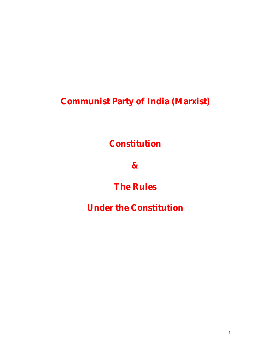**Communist Party of India (Marxist)**

**Constitution**

**&** 

# **The Rules**

# **Under the Constitution**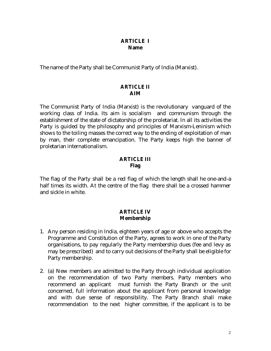#### **ARTICLE I Name**

The name of the Party shall be Communist Party of India (Marxist).

#### **ARTICLE II AIM**

The Communist Party of India (Marxist) is the revolutionary vanguard of the working class of India. Its aim is socialism and communism through the establishment of the state of dictatorship of the proletariat. In all its activities the Party is guided by the philosophy and principles of Marxism-Leninism which shows to the toiling masses the correct way to the ending of exploitation of man by man, their complete emancipation. The Party keeps high the banner of proletarian internationalism.

#### **ARTICLE III Flag**

The flag of the Party shall be a red flag of which the length shall he one-and-a half times its width. At the centre of the flag there shall be a crossed hammer and sickle in white.

#### **ARTICLE IV Membership**

- 1. Any person residing in India, eighteen years of age or above who accepts the Programme and Constitution of the Party, agrees to work in one of the Party organisations, to pay regularly the Party membership dues (fee and levy as may be prescribed) and to carry out decisions of the Party shall be eligible for Party membership.
- 2. (a) New members are admitted to the Party through individual application on the recommendation of two Party members. Party members who recommend an applicant must furnish the Party Branch or the unit concerned, full information about the applicant from personal knowledge and with due sense of responsibility. The Party Branch shall make recommendation to the next higher committee, if the applicant is to be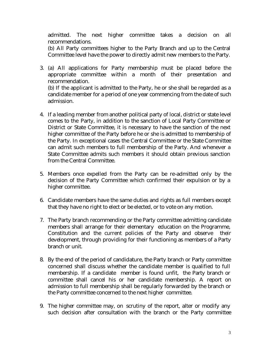admitted. The next higher committee takes a decision on all recommendations.

(b) All Party committees higher to the Party Branch and up to the Central Committee level have the power to directly admit new members to the Party.

3. (a) All applications for Party membership must be placed before the appropriate committee within a month of their presentation and recommendation.

(b) If the applicant is admitted to the Party, he or she shall be regarded as a candidate member for a period of one year commencing from the date of such admission.

- 4. If a leading member from another political party of local, district or state level comes to the Party, in addition to the sanction of Local Party Committee or District or State Committee, it is necessary to have the sanction of the next higher committee of the Party before he or she is admitted to membership of the Party. In exceptional cases the Central Committee or the State Committee can admit such members to full membership of the Party. And whenever a State Committee admits such members it should obtain previous sanction from the Central Committee.
- 5. Members once expelled from the Party can be re-admitted only by the decision of the Party Committee which confirmed their expulsion or by a higher committee.
- 6. Candidate members have the same duties and rights as full members except that they have no right to elect or be elected, or to vote on any motion.
- 7. The Party branch recommending or the Party committee admitting candidate members shall arrange for their elementary education on the Programme, Constitution and the current policies of the Party and observe their development, through providing for their functioning as members of a Party branch or unit.
- 8. By the end of the period of candidature, the Party branch or Party committee concerned shall discuss whether the candidate member is qualified to full membership. If a candidate member is found unfit, the Party branch or committee shall cancel his or her candidate membership. A report on admission to full membership shall be regularly forwarded by the branch or the Party committee concerned to the next higher committee.
- 9. The higher committee may, on scrutiny of the report, alter or modify any such decision after consultation with the branch or the Party committee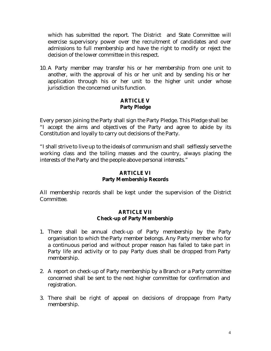which has submitted the report. The District and State Committee will exercise supervisory power over the recruitment of candidates and over admissions to full membership and have the right to modify or reject the decision of the lower committee in this respect.

10. A Party member may transfer his or her membership from one unit to another, with the approval of his or her unit and by sending his or her application through his or her unit to the higher unit under whose jurisdiction the concerned units function.

# **ARTICLE V Party Pledge**

Every person joining the Party shall sign the Party Pledge. This Pledge shall be: "I accept the aims and objectives of the Party and agree to abide by its Constitution and loyally to carry out decisions of the Party.

"I shall strive to live up to the ideals of communism and shall selflessly serve the working class and the toiling masses and the country, always placing the interests of the Party and the people above personal interests."

# **ARTICLE VI Party Membership Records**

All membership records shall be kept under the supervision of the District Committee.

#### **ARTICLE VII Check-up of Party Membership**

- 1. There shall be annual check-up of Party membership by the Party organisation to which the Party member belongs. Any Party member who for a continuous period and without proper reason has failed to take part in Party life and activity or to pay Party dues shall be dropped from Party membership.
- 2. A report on check-up of Party membership by a Branch or a Party committee concerned shall be sent to the next higher committee for confirmation and registration.
- 3. There shall be right of appeal on decisions of droppage from Party membership.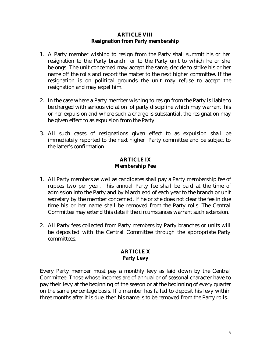#### **ARTICLE VIII Resignation from Party membership**

- 1. A Party member wishing to resign from the Party shall summit his or her resignation to the Party branch or to the Party unit to which he or she belongs. The unit concerned may accept the same, decide to strike his or her name off the rolls and report the matter to the next higher committee. If the resignation is on political grounds the unit may refuse to accept the resignation and may expel him.
- 2. In the case where a Party member wishing to resign from the Party is liable to be charged with serious violation of party discipline which may warrant his or her expulsion and where such a charge is substantial, the resignation may be given effect to as expulsion from the Party.
- 3. All such cases of resignations given effect to as expulsion shall be immediately reported to the next higher Party committee and be subject to the latter's confirmation.

#### **ARTICLE IX Membership Fee**

- 1. All Party members as well as candidates shall pay a Party membership fee of rupees two per year. This annual Party fee shall be paid at the time of admission into the Party and by March end of each year to the branch or unit secretary by the member concerned. If he or she does not clear the fee in due time his or her name shall be removed from the Party rolls. The Central Committee may extend this date if the circumstances warrant such extension.
- 2. All Party fees collected from Party members by Party branches or units will be deposited with the Central Committee through the appropriate Party committees.

#### **ARTICLE X Party Levy**

Every Party member must pay a monthly levy as laid down by the Central Committee. Those whose incomes are of annual or of seasonal character have to pay their levy at the beginning of the season or at the beginning of every quarter on the same percentage basis. If a member has failed to deposit his levy within three months after it is due, then his name is to be removed from the Party rolls.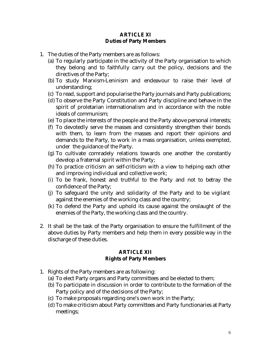#### **ARTICLE XI Duties of Party Members**

- 1. The duties of the Party members are as follows:
	- (a) To regularly participate in the activity of the Party organisation to which they belong and to faithfully carry out the policy, decisions and the directives of the Party;
	- (b) To study Marxism-Leninism and endeavour to raise their level of understanding;
	- (c) To read, support and popularise the Party journals and Party publications;
	- (d) To observe the Party Constitution and Party discipline and behave in the spirit of proletarian internationalism and in accordance with the noble ideals of communism;
	- (e) To place the interests of the people and the Party above personal interests;
	- (f) To devotedly serve the masses and consistently strengthen their bonds with them, to learn from the masses and report their opinions and demands to the Party, to work in a mass organisation, unless exempted, under the guidance of the Party.
	- (g) To cultivate comradely relations towards one another the constantly develop a fraternal spirit within the Party;
	- (h) To practice criticism an self-criticism with a view to helping each other and improving individual and collective work;
	- (i) To be frank, honest and truthful to the Party and not to betray the confidence of the Party;
	- (j) To safeguard the unity and solidarity of the Party and to be vigilant against the enemies of the working class and the country;
	- (k) To defend the Party and uphold its cause against the onslaught of the enemies of the Party, the working class and the country.
- 2. It shall be the task of the Party organisation to ensure the fulfillment of the above duties by Party members and help them in every possible way in the discharge of these duties.

#### **ARTICLE XII Rights of Party Members**

- 1. Rights of the Party members are as following:
	- (a) To elect Party organs and Party committees and be elected to them;
	- (b) To participate in discussion in order to contribute to the formation of the Party policy and of the decisions of the Party;
	- (c) To make proposals regarding one's own work in the Party;
	- (d) To make criticism about Party committees and Party functionaries at Party meetings;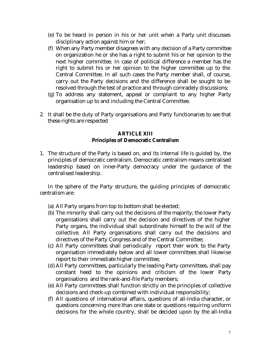- (e) To be heard in person in his or her unit when a Party unit discusses disciplinary action against him or her;
- (f) When any Party member disagrees with any decision of a Party committee on organization he or she has a right to submit his or her opinion to the next higher committee. In case of political difference a member has the right to submit his or her opinion to the higher committee up to the Central Committee. In all such cases the Party member shall, of course, carry out the Party decisions and the difference shall be sought to be resolved through the test of practice and through comradely discussions;
- (g) To address any statement, appeal or complaint to any higher Party organisation up to and including the Central Committee.
- 2. It shall be the duty of Party organisations and Party functionaries to see that these rights are respected

#### **ARTICLE XIII Principles of Democratic Centralism**

1. The structure of the Party is based on, and its internal life is guided by, the principles of democratic centralism. Democratic centralism means centralised leadership based on inner-Party democracy under the guidance of the centralised leadership.

In the sphere of the Party structure, the guiding principles of democratic centralism are:

- (a) All Party organs from top to bottom shall be elected;
- (b) The minority shall carry out the decisions of the majority; the lower Party organisations shall carry out the decision and directives of the higher Party organs, the individual shall subordinate himself to the will of the collective. All Party organisations shall carry out the decisions and directives of the Party Congress and of the Central Committee;
- (c) All Party committees shall periodically report their work to the Party organisation immediately below and all lower committees shall likewise report to their immediate higher committee;
- (d) All Party committees, particularly the leading Party committees, shall pay constant heed to the opinions and criticism of the lower Party organisations and the rank-and-file Party members;
- (e) All Party committees shall function strictly on the principles of collective decisions and check-up combined with individual responsibility;
- (f) All questions of international affairs, questions of all-India character, or questions concerning more than one state or questions requiring uniform decisions for the whole country, shall be decided upon by the all-India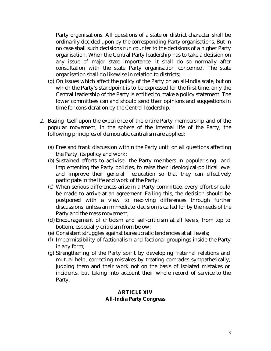Party organisations. All questions of a state or district character shall be ordinarily decided upon by the corresponding Party organisations. But in no case shall such decisions run counter to the decisions of a higher Party organisation. When the Central Party leadership has to take a decision on any issue of major state importance, it shall do so normally after consultation with the state Party organisation concerned. The state organisation shall do likewise in relation to districts;

- (g) On issues which affect the policy of the Party on an all-India scale, but on which the Party's standpoint is to be expressed for the first time, only the Central leadership of the Party is entitled to make a policy statement. The lower committees can and should send their opinions and suggestions in time for consideration by the Central leadership.
- 2. Basing itself upon the experience of the entire Party membership and of the popular movement, in the sphere of the internal life of the Party, the following principles of democratic centralism are applied:
	- (a) Free and frank discussion within the Party unit on all questions affecting the Party, its policy and work;
	- (b) Sustained efforts to activise the Party members in popularising and implementing the Party policies, to raise their ideological-political level and improve their general education so that they can effectively participate in the life and work of the Party;
	- (c) When serious differences arise in a Party committee, every effort should be made to arrive at an agreement. Failing this, the decision should be postponed with a view to resolving differences through further discussions, unless an immediate decision is called for by the needs of the Party and the mass movement;
	- (d) Encouragement of criticism and self-criticism at all levels, from top to bottom, especially criticism from below;
	- (e) Consistent struggles against bureaucratic tendencies at all levels;
	- (f) Impermissibility of factionalism and factional groupings inside the Party in any form;
	- (g) Strengthening of the Party spirit by developing fraternal relations and mutual help, correcting mistakes by treating comrades sympathetically; judging them and their work not on the basis of isolated mistakes or incidents, but taking into account their whole record of service to the Party.

#### **ARTICLE XIV All-India Party Congress**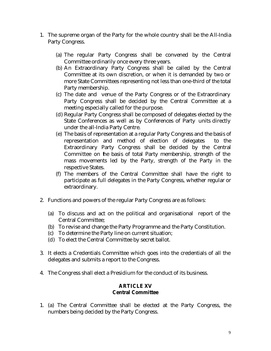- 1. The supreme organ of the Party for the whole country shall be the All-India Party Congress.
	- (a) The regular Party Congress shall be convened by the Central Committee ordinarily once every three years.
	- (b) An Extraordinary Party Congress shall be called by the Central Committee at its own discretion, or when it is demanded by two or more State Committees representing not less than one-third of the total Party membership.
	- (c) The date and venue of the Party Congress or of the Extraordinary Party Congress shall be decided by the Central Committee at a meeting especially called for the purpose.
	- (d) Regular Party Congress shall be composed of delegates elected by the State Conferences as well as by Conferences of Party units directly under the all-India Party Centre.
	- (e) The basis of representation at a regular Party Congress and the basis of representation and method of election of delegates to the Extraordinary Party Congress shall be decided by the Central Committee on the basis of total Party membership, strength of the mass movements led by the Party, strength of the Party in the respective States.
	- (f) The members of the Central Committee shall have the right to participate as full delegates in the Party Congress, whether regular or extraordinary.
- 2. Functions and powers of the regular Party Congress are as follows:
	- (a) To discuss and act on the political and organisational report of the Central Committee;
	- (b) To revise and change the Party Programme and the Party Constitution.
	- (c) To determine the Party line on current situation;
	- (d) To elect the Central Committee by secret ballot.
- 3. It elects a Credentials Committee which goes into the credentials of all the delegates and submits a report to the Congress.
- 4. The Congress shall elect a Presidium for the conduct of its business.

#### **ARTICLE XV Central Committee**

1. (a) The Central Committee shall be elected at the Party Congress, the numbers being decided by the Party Congress.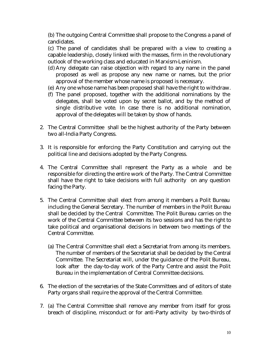(b) The outgoing Central Committee shall propose to the Congress a panel of candidates.

(c) The panel of candidates shall be prepared with a view to creating a capable leadership, closely linked with the masses, firm in the revolutionary outlook of the working class and educated in Marxism-Leninism.

- (d) Any delegate can raise objection with regard to any name in the panel proposed as well as propose any new name or names, but the prior approval of the member whose name is proposed is necessary.
- (e) Any one whose name has been proposed shall have the right to withdraw.
- (f) The panel proposed, together with the additional nominations by the delegates, shall be voted upon by secret ballot, and by the method of single distributive vote. In case there is no additional nomination, approval of the delegates will be taken by show of hands.
- 2. The Central Committee shall be the highest authority of the Party between two all-India Party Congress.
- 3. It is responsible for enforcing the Party Constitution and carrying out the political line and decisions adopted by the Party Congress.
- 4. The Central Committee shall represent the Party as a whole and be responsible for directing the entire work of the Party. The Central Committee shall have the right to take decisions with full authority on any question facing the Party.
- 5. The Central Committee shall elect from among it members a Polit Bureau including the General Secretary. The number of members in the Polit Bureau shall be decided by the Central Committee. The Polit Bureau carries on the work of the Central Committee between its two sessions and has the right to take political and organisational decisions in between two meetings of the Central Committee.
	- (a) The Central Committee shall elect a Secretariat from among its members. The number of members of the Secretariat shall be decided by the Central Committee. The Secretariat will, under the guidance of the Polit Bureau, look after the day-to-day work of the Party Centre and assist the Polit Bureau in the implementation of Central Committee decisions.
- 6. The election of the secretaries of the State Committees and of editors of state Party organs shall require the approval of the Central Committee.
- 7. (a) The Central Committee shall remove any member from itself for gross breach of discipline, misconduct or for anti-Party activity by two-thirds of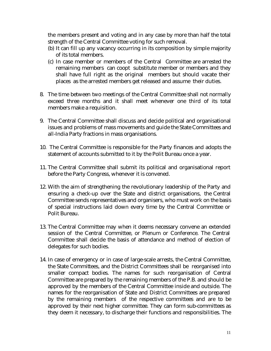the members present and voting and in any case by more than half the total strength of the Central Committee voting for such removal.

- (b) It can fill up any vacancy occurring in its composition by simple majority of its total members.
- (c) In case member or members of the Central Committee are arrested the remaining members can coopt substitute member or members and they shall have full right as the original members but should vacate their places as the arrested members get released and assume their duties.
- 8. The time between two meetings of the Central Committee shall not normally exceed three months and it shall meet whenever one third of its total members make a requisition.
- 9. The Central Committee shall discuss and decide political and organisational issues and problems of mass movements and guide the State Committees and all-India Party fractions in mass organisations.
- 10. The Central Committee is responsible for the Party finances and adopts the statement of accounts submitted to it by the Polit Bureau once a year.
- 11. The Central Committee shall submit its political and organisational report before the Party Congress, whenever it is convened.
- 12. With the aim of strengthening the revolutionary leadership of the Party and ensuring a check-up over the State and district organisations, the Central Committee sends representatives and organisers, who must work on the basis of special instructions laid down every time by the Central Committee or Polit Bureau.
- 13. The Central Committee may when it deems necessary convene an extended session of the Central Committee, or Plenum or Conference. The Central Committee shall decide the basis of attendance and method of election of delegates for such bodies.
- 14. In case of emergency or in case of large-scale arrests, the Central Committee, the State Committees, and the District Committees shall be reorganised into smaller compact bodies. The names for such reorganisation of Central Committee are prepared by the remaining members of the P.B. and should be approved by the members of the Central Committee inside and outside. The names for the reorganisation of State and District Committees are prepared by the remaining members of the respective committees and are to be approved by their next higher committee. They can form sub-committees as they deem it necessary, to discharge their functions and responsibilities. The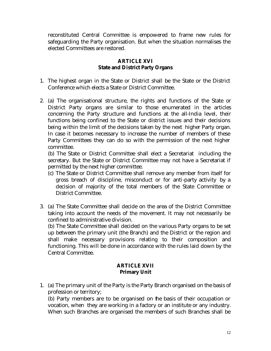reconstituted Central Committee is empowered to frame new rules for safeguarding the Party organisation. But when the situation normalises the elected Committees are restored.

## **ARTICLE XVI State and District Party Organs**

- 1. The highest organ in the State or District shall be the State or the District Conference which elects a State or District Committee.
- 2. (a) The organisational structure, the rights and functions of the State or District Party organs are similar to those enumerated in the articles concerning the Party structure and functions at the all-India level, their functions being confined to the State or district issues and their decisions being within the limit of the decisions taken by the next higher Party organ. In case it becomes necessary to increase the number of members of these Party Committees they can do so with the permission of the next higher committee.

(b) The State or District Committee shall elect a Secretariat including the secretary. But the State or District Committee may not have a Secretariat if permitted by the next higher committee.

- (c) The State or District Committee shall remove any member from itself for gross breach of discipline, misconduct or for anti-party activity by a decision of majority of the total members of the State Committee or District Committee.
- 3. (a) The State Committee shall decide on the area of the District Committee taking into account the needs of the movement. It may not necessarily be confined to administrative division.

(b) The State Committee shall decided on the various Party organs to be set up between the primary unit (the Branch) and the District or the region and shall make necessary provisions relating to their composition and functioning. This will be done in accordance with the rules laid down by the Central Committee.

# **ARTICLE XVII Primary Unit**

1. (a) The primary unit of the Party is the Party Branch organised on the basis of profession or territory;

(b) Party members are to be organised on the basis of their occupation or vocation, when they are working in a factory or an institute or any industry. When such Branches are organised the members of such Branches shall be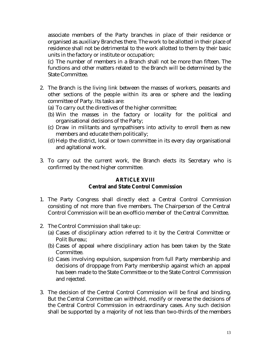associate members of the Party branches in place of their residence or organised as auxiliary Branches there. The work to be allotted in their place of residence shall not be detrimental to the work allotted to them by their basic units in the factory or institute or occupation;

(c) The number of members in a Branch shall not be more than fifteen. The functions and other matters related to the Branch will be determined by the State Committee.

- 2. The Branch is the living link between the masses of workers, peasants and other sections of the people within its area or sphere and the leading committee of Party. Its tasks are:
	- (a) To carry out the directives of the higher committee;
	- (b) Win the masses in the factory or locality for the political and organisational decisions of the Party;
	- (c) Draw in militants and sympathisers into activity to enroll them as new members and educate them politically;
	- (d) Help the district, local or town committee in its every day organisational and agitational work.
- 3. To carry out the current work, the Branch elects its Secretary who is confirmed by the next higher committee.

# **ARTICLE XVIII Central and State Control Commission**

- 1. The Party Congress shall directly elect a Central Control Commission consisting of not more than five members. The Chairperson of the Central Control Commission will be an ex-officio member of the Central Committee.
- 2. The Control Commission shall take up:
	- (a) Cases of disciplinary action referred to it by the Central Committee or Polit Bureau;
	- (b) Cases of appeal where disciplinary action has been taken by the State Committee.
	- (c) Cases involving expulsion, suspension from full Party membership and decisions of droppage from Party membership against which an appeal has been made to the State Committee or to the State Control Commission and rejected.
- 3. The decision of the Central Control Commission will be final and binding. But the Central Committee can withhold, modify or reverse the decisions of the Central Control Commission in extraordinary cases. Any such decision shall be supported by a majority of not less than two-thirds of the members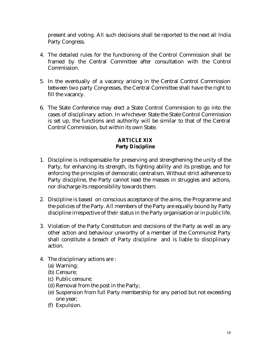present and voting. All such decisions shall be reported to the next all India Party Congress.

- 4. The detailed rules for the functioning of the Control Commission shall be framed by the Central Committee after consultation with the Control Commission.
- 5. In the eventually of a vacancy arising in the Central Control Commission between two party Congresses, the Central Committee shall have the right to fill the vacancy.
- 6. The State Conference may elect a State Control Commission to go into the cases of disciplinary action. In whichever State the State Control Commission is set up, the functions and authority will be similar to that of the Central Control Commission, but within its own State.

# **ARTICLE XIX Party Discipline**

- 1. Discipline is indispensable for preserving and strengthening the unity of the Party, for enhancing its strength, its fighting ability and its prestige, and for enforcing the principles of democratic centralism. Without strict adherence to Party discipline, the Party cannot lead the masses in struggles and actions, nor discharge its responsibility towards them.
- 2. Discipline is based on conscious acceptance of the aims, the Programme and the policies of the Party. All members of the Party are equally bound by Party discipline irrespective of their status in the Party organisation or in public life.
- 3. Violation of the Party Constitution and decisions of the Party as well as any other action and behaviour unworthy of a member of the Communist Party shall constitute a breach of Party discipline and is liable to disciplinary action.
- 4. The disciplinary actions are :
	- (a) Warning;
	- (b) Censure;
	- (c) Public censure;
	- (d) Removal from the post in the Party;
	- (e) Suspension from full Party membership for any period but not exceeding one year;
	- (f) Expulsion.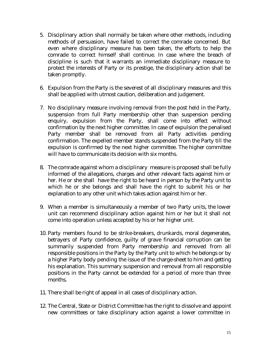- 5. Disciplinary action shall normally be taken where other methods, including methods of persuasion, have failed to correct the comrade concerned. But even where disciplinary measure has been taken, the efforts to help the comrade to correct himself shall continue. In case where the breach of discipline is such that it warrants an immediate disciplinary measure to protect the interests of Party or its prestige, the disciplinary action shall be taken promptly.
- 6. Expulsion from the Party is the severest of all disciplinary measures and this shall be applied with utmost caution, deliberation and judgement.
- 7. No disciplinary measure involving removal from the post held in the Party, suspension from full Party membership other than suspension pending enquiry, expulsion from the Party, shall come into effect without confirmation by the next higher committee. In case of expulsion the penalised Party member shall be removed from all Party activities pending confirmation. The expelled member stands suspended from the Party till the expulsion is confirmed by the next higher committee. The higher committee will have to communicate its decision with six months.
- 8. The comrade against whom a disciplinary measure is proposed shall be fully informed of the allegations, charges and other relevant facts against him or her. He or she shall have the right to be heard in person by the Party unit to which he or she belongs and shall have the right to submit his or her explanation to any other unit which takes action against him or her.
- 9. When a member is simultaneously a member of two Party units, the lower unit can recommend disciplinary action against him or her but it shall not come into operation unless accepted by his or her higher unit.
- 10. Party members found to be strike-breakers, drunkards, moral degenerates, betrayers of Party confidence, guilty of grave financial corruption can be summarily suspended from Party membership and removed from all responsible positions in the Party by the Party unit to which he belongs or by a higher Party body pending the issue of the charge-sheet to him and getting his explanation. This summary suspension and removal from all responsible positions in the Party cannot be extended for a period of more than three months.
- 11. There shall be right of appeal in all cases of disciplinary action.
- 12. The Central, State or District Committee has the right to dissolve and appoint new committees or take disciplinary action against a lower committee in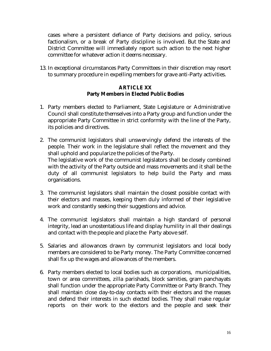cases where a persistent defiance of Party decisions and policy, serious factionalism, or a break of Party discipline is involved. But the State and District Committee will immediately report such action to the next higher committee for whatever action it deems necessary.

13. In exceptional circumstances Party Committees in their discretion may resort to summary procedure in expelling members for grave anti-Party activities.

## **ARTICLE XX Party Members in Elected Public Bodies**

- 1. Party members elected to Parliament, State Legislature or Administrative Council shall constitute themselves into a Party group and function under the appropriate Party Committee in strict conformity with the line of the Party, its policies and directives.
- 2. The communist legislators shall unswervingly defend the interests of the people. Their work in the legislature shall reflect the movement and they shall uphold and popularize the policies of the Party. The legislative work of the communist legislators shall be closely combined with the activity of the Party outside and mass movements and it shall be the duty of all communist legislators to help build the Party and mass organisations.
- 3. The communist legislators shall maintain the closest possible contact with their electors and masses, keeping them duly informed of their legislative work and constantly seeking their suggestions and advice.
- 4. The communist legislators shall maintain a high standard of personal integrity, lead an unostentatious life and display humility in all their dealings and contact with the people and place the Party above self.
- 5. Salaries and allowances drawn by communist legislators and local body members are considered to be Party money. The Party Committee concerned shall fix up the wages and allowances of the members.
- 6. Party members elected to local bodies such as corporations, municipalities, town or area committees, zilla parishads, block samities, gram panchayats shall function under the appropriate Party Committee or Party Branch. They shall maintain close day-to-day contacts with their electors and the masses and defend their interests in such elected bodies. They shall make regular reports on their work to the electors and the people and seek their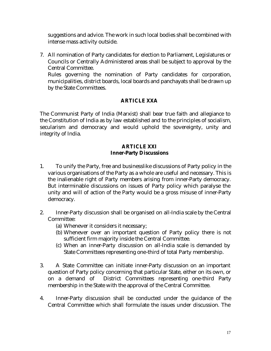suggestions and advice. The work in such local bodies shall be combined with intense mass activity outside.

7. All nomination of Party candidates for election to Parliament, Legislatures or Councils or Centrally Administered areas shall be subject to approval by the Central Committee.

Rules governing the nomination of Party candidates for corporation, municipalities, district boards, local boards and panchayats shall be drawn up by the State Committees.

# **ARTICLE XXA**

The Communist Party of India (Marxist) shall bear true faith and allegiance to the Constitution of India as by law established and to the principles of socialism, secularism and democracy and would uphold the sovereignty, unity and integrity of India.

## **ARTICLE XXI Inner-Party Discussions**

- 1. To unify the Party, free and businesslike discussions of Party policy in the various organisations of the Party as a whole are useful and necessary. This is the inalienable right of Party members arising from inner-Party democracy. But interminable discussions on issues of Party policy which paralyse the unity and will of action of the Party would be a gross misuse of inner-Party democracy.
- 2. Inner-Party discussion shall be organised on all-India scale by the Central Committee:
	- (a) Whenever it considers it necessary;
	- (b) Whenever over an important question of Party policy there is not sufficient firm majority inside the Central Committee.
	- (c) When an inner-Party discussion on all-India scale is demanded by State Committees representing one-third of total Party membership.
- 3. A State Committee can initiate inner-Party discussion on an important question of Party policy concerning that particular State, either on its own, or on a demand of District Committees representing one-third Party membership in the State with the approval of the Central Committee.
- 4. Inner-Party discussion shall be conducted under the guidance of the Central Committee which shall formulate the issues under discussion. The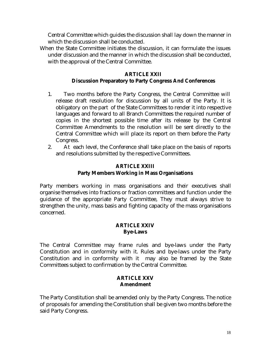Central Committee which guides the discussion shall lay down the manner in which the discussion shall be conducted.

When the State Committee initiates the discussion, it can formulate the issues under discussion and the manner in which the discussion shall be conducted, with the approval of the Central Committee.

# **ARTICLE XXII Discussion Preparatory to Party Congress And Conferences**

- 1. Two months before the Party Congress, the Central Committee will release draft resolution for discussion by all units of the Party. It is obligatory on the part of the State Committees to render it into respective languages and forward to all Branch Committees the required number of copies in the shortest possible time after its release by the Central Committee Amendments to the resolution will be sent directly to the Central Committee which will place its report on them before the Party Congress.
- 2. At each level, the Conference shall take place on the basis of reports and resolutions submitted by the respective Committees.

# **ARTICLE XXIII Party Members Working in Mass Organisations**

Party members working in mass organisations and their executives shall organise themselves into fractions or fraction committees and function under the guidance of the appropriate Party Committee, They must always strive to strengthen the unity, mass basis and fighting capacity of the mass organisations concerned.

#### **ARTICLE XXIV Bye-Laws**

The Central Committee may frame rules and bye-laws under the Party Constitution and in conformity with it. Rules and bye-laws under the Party Constitution and in conformity with it may also be framed by the State Committees subject to confirmation by the Central Committee.

#### **ARTICLE XXV Amendment**

The Party Constitution shall be amended only by the Party Congress. The notice of proposals for amending the Constitution shall be given two months before the said Party Congress.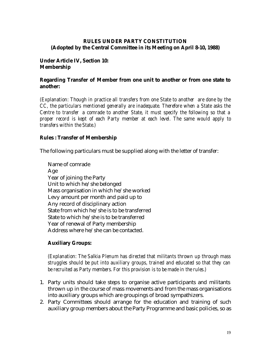## **RULES UNDER PARTY CONSTITUTION (Adopted by the Central Committee in its Meeting on April 8-10, 1988)**

#### **Under Article IV, Section 10: Membership**

#### **Regarding Transfer of Member from one unit to another or from one state to another:**

*(Explanation: Though in practice all transfers from one State to another are done by the CC, the particulars mentioned generally are inadequate. Therefore when a State asks the Centre to transfer a comrade to another State, it must specify the following so that a proper record is kept of each Party member at each level. The same would apply to transfers within the State.)*

#### **Rules : Transfer of Membership**

The following particulars must be supplied along with the letter of transfer:

Name of comrade Age Year of joining the Party Unit to which he/she belonged Mass organisation in which he/she worked Levy amount per month and paid up to Any record of disciplinary action State from which he/she is to be transferred State to which he/she is to be transferred Year of renewal of Party membership Address where he/she can be contacted.

# **Auxiliary Groups:**

*(Explanation: The Salkia Plenum has directed that militants thrown up through mass struggles should be put into auxiliary groups, trained and educated so that they can be recruited as Party members. For this provision is to be made in the rules.)*

- 1. Party units should take steps to organise active participants and militants thrown up in the course of mass movements and from the mass organisations into auxiliary groups which are groupings of broad sympathizers.
- 2. Party Committees should arrange for the education and training of such auxiliary group members about the Party Programme and basic policies, so as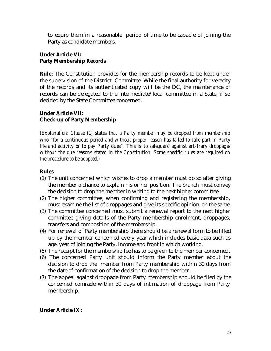to equip them in a reasonable period of time to be capable of joining the Party as candidate members.

## **Under Article VI: Party Membership Records**

**Rule**: The Constitution provides for the membership records to be kept under the supervision of the District Committee. While the final authority for veracity of the records and its authenticated copy will be the DC, the maintenance of records can be delegated to the intermediate/local committee in a State, if so decided by the State Committee concerned.

# **Under Article VII: Check-up of Party Membership**

*(Explanation: Clause (1) states that a Party member may be dropped from membership who "for a continuous period and without proper reason has failed to take part in Party life and activity or to pay Party dues". This is to safeguard against arbitrary droppages without the due reasons stated in the Constitution. Some specific rules are required on the procedure to be adopted.)*

# **Rules**

- (1) The unit concerned which wishes to drop a member must do so after giving the member a chance to explain his or her position. The branch must convey the decision to drop the member in writing to the next higher committee.
- (2) The higher committee, when confirming and registering the membership, must examine the list of droppages and give its specific opinion on the same.
- (3) The committee concerned must submit a renewal report to the next higher committee giving details of the Party membership enrolment, droppages, transfers and composition of the membership.
- (4) For renewal of Party membership there should be a renewal form to be filled up by the member concerned every year which includes basic data such as age, year of joining the Party, income and front in which working.
- (5) The receipt for the membership fee has to be given to the member concerned.
- (6) The concerned Party unit should inform the Party member about the decision to drop the member from Party membership within 30 days from the date of confirmation of the decision to drop the member.
- (7) The appeal against droppage from Party membership should be filed by the concerned comrade within 30 days of intimation of droppage from Party membership.

# **Under Article IX :**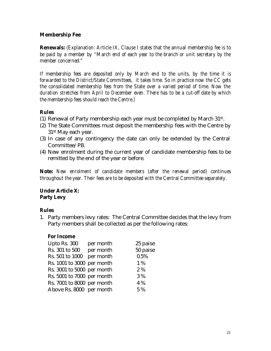# **Membership Fee**

**Renewals:** *(Explanation: Article IX, Clause I states that the annual membership fee is to be paid by a member by "March end of each year to the branch or unit secretary by the member concerned."*

*If membership fees are deposited only by March end to the units, by the time it is forwarded to the District/State Committees, it takes time. So in practice now the CC gets the consolidated membership fees from the State over a varied period of time. Now the duration stretches from April to December even. There has to be a cut-off date by which the membership fees should reach the Centre.)*

# **Rules**

- (1) Renewal of Party membership each year must be completed by March 31st .
- (2) The State Committees must deposit the membership fees with the Centre by 31st May each year.
- (3) In case of any contingency the date can only be extended by the Central Committee/PB.
- (4) New enrolment during the current year of candidate membership fees to be remitted by the end of the year or before.

**Note:** *New enrolment of candidate members (after the renewal period) continues throughout the year. Their fees are to be deposited with the Central Committee separately.*

# **Under Article X: Party Levy**

# **Rules**

1. Party members levy rates: The Central Committee decides that the levy from Party members shall be collected as per the following rates:

# **For Income**

| Upto Rs. 300               | per month | 25 paise |
|----------------------------|-----------|----------|
| Rs. 301 to 500             | per month | 50 paise |
| Rs. 501 to 1000            | per month | 0.5%     |
| Rs. 1001 to 3000 per month |           | 1%       |
| Rs. 3001 to 5000 per month |           | 2%       |
| Rs. 5001 to 7000 per month |           | 3%       |
| Rs. 7001 to 8000 per month |           | 4 %      |
| Above Rs. 8000 per month   |           | 5 %      |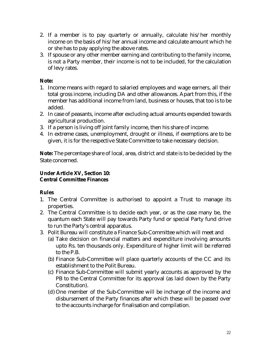- 2. If a member is to pay quarterly or annually, calculate his/her monthly income on the basis of his/her annual income and calculate amount which he or she has to pay applying the above rates.
- 3. If spouse or any other member earning and contributing to the family income, is not a Party member, their income is not to be included, for the calculation of levy rates.

# **Note:**

- 1. Income means with regard to salaried employees and wage earners, all their total gross income, including DA and other allowances. Apart from this, if the member has additional income from land, business or houses, that too is to be added.
- 2. In case of peasants, income after excluding actual amounts expended towards agricultural production.
- 3. If a person is living off joint family income, then his share of income.
- 4. In extreme cases, unemployment, drought or illness, if exemptions are to be given, it is for the respective State Committee to take necessary decision.

**Note:** The percentage share of local, area, district and state is to be decided by the State concerned.

# **Under Article XV, Section 10: Central Committee Finances**

# **Rules**

- 1. The Central Committee is authorised to appoint a Trust to manage its properties.
- 2. The Central Committee is to decide each year, or as the case many be, the quantum each State will pay towards Party fund or special Party fund drive to run the Party's central apparatus.
- 3. Polit Bureau will constitute a Finance Sub-Committee which will meet and
	- (a) Take decision on financial matters and expenditure involving amounts upto Rs. ten thousands only. Expenditure of higher limit will be referred to the P.B.
	- (b) Finance Sub-Committee will place quarterly accounts of the CC and its establishment to the Polit Bureau.
	- (c) Finance Sub-Committee will submit yearly accounts as approved by the PB to the Central Committee for its approval (as laid down by the Party Constitution).
	- (d) One member of the Sub-Committee will be incharge of the income and disbursement of the Party finances after which these will be passed over to the accounts incharge for finalisation and compilation.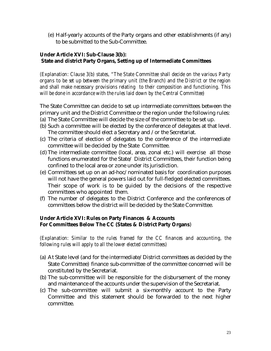(e) Half-yearly accounts of the Party organs and other establishments (if any) to be submitted to the Sub-Committee.

## **Under Article XVI: Sub-Clause 3(b): State and district Party Organs, Setting up of Intermediate Committees**

*(Explanation: Clause 3(b) states, "The State Committee shall decide on the various Party organs to be set up between the primary unit (the Branch) and the District or the region and shall make necessary provisions relating to their composition and functioning. This will be done in accordance with the rules laid down by the Central Committee)*

The State Committee can decide to set up intermediate committees between the primary unit and the District Committee or the region under the following rules:

- (a) The State Committee will decide the size of the committee to be set up.
- (b) Such a committee will be elected by the conference of delegates at that level. The committee should elect a Secretary and /or the Secretariat.
- (c) The criteria of election of delegates to the conference of the intermediate committee will be decided by the State Committee.
- (d) The intermediate committee (local, area, zonal etc.) will exercise all those functions enumerated for the State/ District Committees, their function being confined to the local area or zone under its jurisdiction.
- (e) Committees set up on an ad-hoc/nominated basis for coordination purposes will not have the general powers laid out for full-fledged elected committees. Their scope of work is to be guided by the decisions of the respective committees who appointed them.
- (f) The number of delegates to the District Conference and the conferences of committees below the district will be decided by the State Committee.

# **Under Article XVI: Rules on Party Finances & Accounts For Committees Below The CC (States & District Party Organs**)

*(Explanation: Similar to the rules framed for the CC finances and accounting, the following rules will apply to all the lower elected committees)*

- (a) At State level (and for the intermediate/District committees as decided by the State Committee) finance sub-committee of the committee concerned will be constituted by the Secretariat.
- (b) The sub-committee will be responsible for the disbursement of the money and maintenance of the accounts under the supervision of the Secretariat.
- (c) The sub-committee will submit a six-monthly account to the Party Committee and this statement should be forwarded to the next higher committee.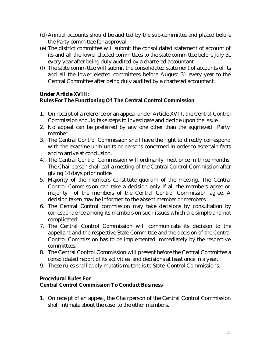- (d) Annual accounts should be audited by the sub-committee and placed before the Party committee for approval.
- (e) The district committee will submit the consolidated statement of account of its and all the lower elected committees to the state committee before July 31 every year after being duly audited by a chartered accountant.
- (f) The state committee will submit the consolidated statement of accounts of its and all the lower elected committees before August 31 every year to the Central Committee after being duly audited by a chartered accountant.

# **Under Article XVIII: Rules For The Functioning Of The Central Control Commission**

- 1. On receipt of a reference or an appeal under Article XVIII, the Central Control Commission should take steps to investigate and decide upon the issue.
- 2. No appeal can be preferred by any one other than the aggrieved Party member.
- 3. The Central Control Commission shall have the right to directly correspond with the examine unit/units or persons concerned in order to ascertain facts and to arrive at conclusion.
- 4. The Central Control Commission will ordinarily meet once in three months. The Chairperson shall call a meeting of the Central Control Commission after giving 14 days prior notice.
- 5. Majority of the members constitute quorum of the meeting. The Central Control Commission can take a decision only if all the members agree or majority of the members of the Central Control Commission agree. A decision taken may be informed to the absent member or members.
- 6. The Central Control commission may take decisions by consultation by correspondence among its members on such issues which are simple and not complicated.
- 7. The Central Control Commission will communicate its decision to the appellant and the respective State Committee and the decision of the Central Control Commission has to be implemented immediately by the respective committees.
- 8. The Central Control Commission will present before the Central Committee a consolidated report of its activities and decisions at least once in a year.
- 9. These rules shall apply mutatis mutandis to State Control Commissions.

# **Procedural Rules For Central Control Commission To Conduct Business**

1. On receipt of an appeal, the Chairperson of the Central Control Commission shall intimate about the case to the other members.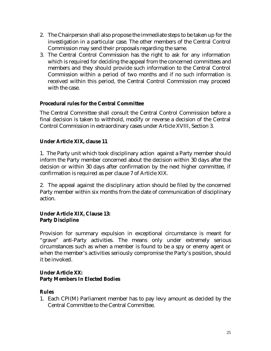- 2. The Chairperson shall also propose the immediate steps to be taken up for the investigation in a particular case. The other members of the Central Control Commission may send their proposals regarding the same.
- 3. The Central Control Commission has the right to ask for any information which is required for deciding the appeal from the concerned committees and members and they should provide such information to the Central Control Commission within a period of two months and if no such information is received within this period, the Central Control Commission may proceed with the case.

# **Procedural rules for the Central Committee**

The Central Committee shall consult the Central Control Commission before a final decision is taken to withhold, modify or reverse a decision of the Central Control Commission in extraordinary cases under Article XVIII, Section 3.

# **Under Article XIX, clause 11**

1. The Party unit which took disciplinary action against a Party member should inform the Party member concerned about the decision within 30 days after the decision or within 30 days after confirmation by the next higher committee, if confirmation is required as per clause 7 of Article XIX.

2. The appeal against the disciplinary action should be filed by the concerned Party member within six months from the date of communication of disciplinary action.

# **Under Article XIX, Clause 13: Party Discipline**

Provision for summary expulsion in exceptional circumstance is meant for "grave" anti-Party activities. The means only under extremely serious circumstances such as when a member is found to be a spy or enemy agent or when the member's activities seriously compromise the Party's position, should it be invoked.

# **Under Article XX: Party Members In Elected Bodies**

# **Rules**

1. Each CPI(M) Parliament member has to pay levy amount as decided by the Central Committee to the Central Committee.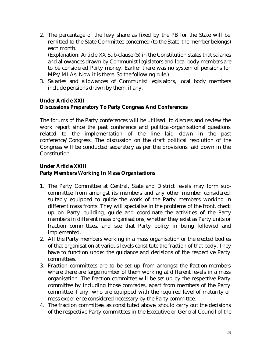2. The percentage of the levy share as fixed by the PB for the State will be remitted to the State Committee concerned (to the State the member belongs) each month.

(Explanation: Article XX Sub-clause (5) in the Constitution states that salaries and allowances drawn by Communist legislators and local body members are to be considered Party money. Earlier there was no system of pensions for MPs/MLAs. Now it is there. So the following rule.)

3. Salaries and allowances of Communist legislators, local body members include pensions drawn by them, if any.

## **Under Article XXII Discussions Preparatory To Party Congress And Conferences**

The forums of the Party conferences will be utilised to discuss and review the work report since the past conference and political-organisational questions related to the implementation of the line laid down in the past conference/Congress. The discussion on the draft political resolution of the Congress will be conducted separately as per the provisions laid down in the Constitution.

# **Under Article XXIII Party Members Working In Mass Organisations**

- 1. The Party Committee at Central, State and District levels may form subcommittee from amongst its members and any other member considered suitably equipped to guide the work of the Party members working in different mass fronts. They will specialise in the problems of the front, check up on Party building, guide and coordinate the activities of the Party members in different mass organisations, whether they exist as Party units or fraction committees, and see that Party policy in being followed and implemented.
- 2. All the Party members working in a mass organisation or the elected bodies of that organisation at various levels constitute the fraction of that body. They have to function under the guidance and decisions of the respective Party committees.
- 3. Fraction committees are to be set up from amongst the fraction members where there are large number of them working at different levels in a mass organisation. The fraction committee will be set up by the respective Party committee by including those comrades, apart from members of the Party committee if any, who are equipped with the required level of maturity or mass experience considered necessary by the Party committee.
- 4. The fraction committee, as constituted above, should carry out the decisions of the respective Party committees in the Executive or General Council of the